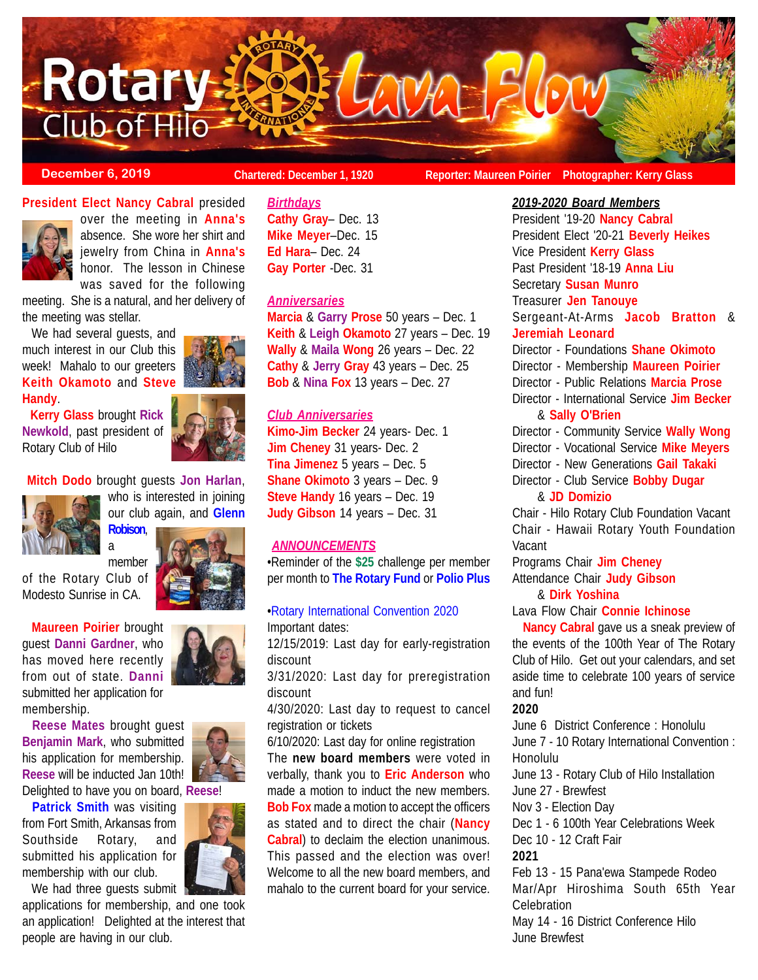**Rotary**  $W$ a =  $E(0W)$ Club of Hilo

**December 6, 2019 Chartered: December 1, 1920 Reporter: Maureen Poirier** Photographer: Kerry Glass

### **President Elect Nancy Cabral** presided



over the meeting in **Anna's** absence. She wore her shirt and jewelry from China in **Anna's** honor. The lesson in Chinese was saved for the following

meeting. She is a natural, and her delivery of the meeting was stellar.

 We had several guests, and much interest in our Club this week! Mahalo to our greeters **Keith Okamoto** and **Steve Handy**.

 **Kerry Glass** brought **Rick Newkold**, past president of Rotary Club of Hilo



**Mitch Dodo** brought guests **Jon Harlan**,

**Robison**,



who is interested in joining our club again, and **Glenn**

a member of the Rotary Club of Modesto Sunrise in CA.

 **Maureen Poirier** brought guest **Danni Gardner**, who has moved here recently from out of state. **Danni** submitted her application for membership.

 **Reese Mates** brought guest **Benjamin Mark**, who submitted his application for membership. **Reese** will be inducted Jan 10th! Delighted to have you on board, **Reese**!

 **Patrick Smith** was visiting from Fort Smith, Arkansas from Southside Rotary, and submitted his application for membership with our club.

We had three quests submit

applications for membership, and one took an application! Delighted at the interest that people are having in our club.



*Birthdays* **Cathy Gray**– Dec. 13

**Mike Meyer**–Dec. 15 **Ed Hara**– Dec. 24 **Gay Porter** -Dec. 31

## *Anniversaries*

**Marcia** & **Garry Prose** 50 years – Dec. 1 **Keith** & **Leigh Okamoto** 27 years – Dec. 19 **Wally** & **Maila Wong** 26 years – Dec. 22 **Cathy** & **Jerry Gray** 43 years – Dec. 25 **Bob** & **Nina Fox** 13 years – Dec. 27

## *Club Anniversaries*

**Kimo-Jim Becker** 24 years- Dec. 1 **Jim Cheney** 31 years- Dec. 2 **Tina Jimenez** 5 years – Dec. 5 **Shane Okimoto** 3 years – Dec. 9 **Steve Handy** 16 years – Dec. 19 **Judy Gibson** 14 years – Dec. 31

## *ANNOUNCEMENTS*

•Reminder of the **\$25** challenge per member per month to **The Rotary Fund** or **Polio Plus**

## •Rotary International Convention 2020

Important dates: 12/15/2019: Last day for early-registration

discount

3/31/2020: Last day for preregistration discount

4/30/2020: Last day to request to cancel registration or tickets

6/10/2020: Last day for online registration The **new board members** were voted in verbally, thank you to **Eric Anderson** who made a motion to induct the new members. **Bob Fox** made a motion to accept the officers as stated and to direct the chair (**Nancy Cabral**) to declaim the election unanimous. This passed and the election was over! Welcome to all the new board members, and mahalo to the current board for your service. *2019-2020 Board Members* President '19-20 **Nancy Cabral** President Elect '20-21 **Beverly Heikes** Vice President **Kerry Glass** Past President '18-19 **Anna Liu** Secretary **Susan Munro** Treasurer **Jen Tanouye** Sergeant-At-Arms **Jacob Bratton** & **Jeremiah Leonard** Director - Foundations **Shane Okimoto** Director - Membership **Maureen Poirier** Director - Public Relations **Marcia Prose** Director - International Service **Jim Becker** & **Sally O'Brien** Director - Community Service **Wally Wong** Director - Vocational Service **Mike Meyers** Director - New Generations **Gail Takaki** Director - Club Service **Bobby Dugar** & **JD Domizio** Chair - Hilo Rotary Club Foundation Vacant Chair - Hawaii Rotary Youth Foundation **Vacant** Programs Chair **Jim Cheney**

Attendance Chair **Judy Gibson** & **Dirk Yoshina**

# Lava Flow Chair **Connie Ichinose**

 **Nancy Cabral** gave us a sneak preview of the events of the 100th Year of The Rotary Club of Hilo. Get out your calendars, and set aside time to celebrate 100 years of service and fun!

#### **2020**

June 6 District Conference : Honolulu June 7 - 10 Rotary International Convention : Honolulu

June 13 - Rotary Club of Hilo Installation June 27 - Brewfest

Nov 3 - Election Day

Dec 1 - 6 100th Year Celebrations Week

Dec 10 - 12 Craft Fair

**2021**

Feb 13 - 15 Pana'ewa Stampede Rodeo Mar/Apr Hiroshima South 65th Year **Celebration** 

May 14 - 16 District Conference Hilo June Brewfest

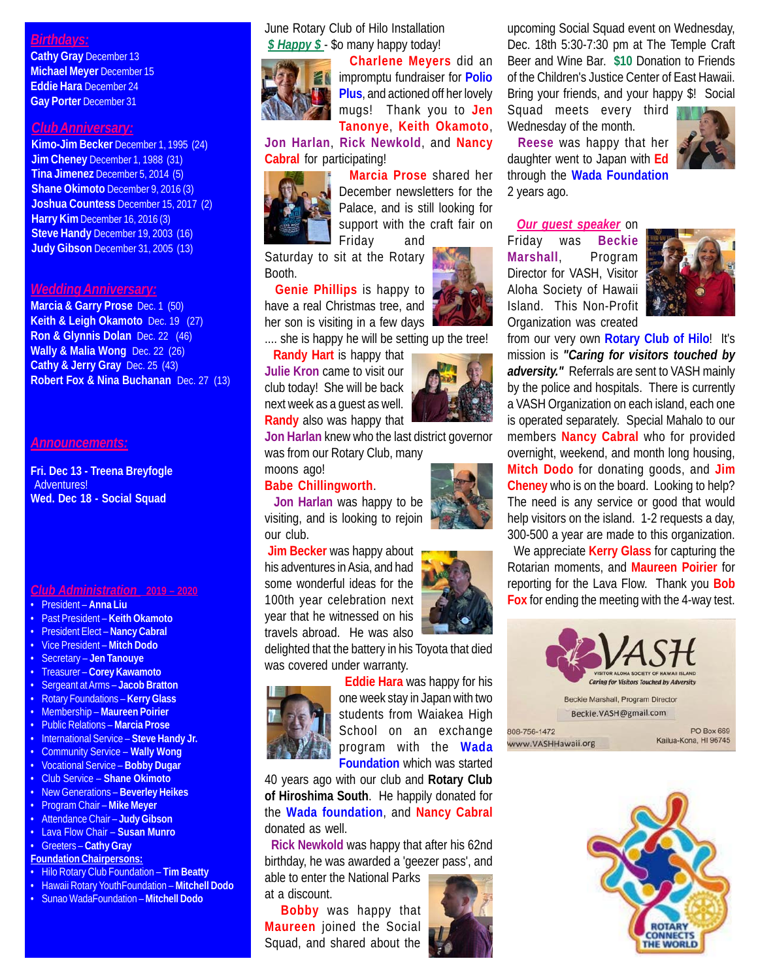## *Birthdays:*

**Cathy Gray** December 13 **Michael Meyer** December 15 **Eddie Hara** December 24 **Gay Porter** December 31

## *Club Anniversary:*

**Kimo-Jim Becker** December 1, 1995 (24) **Jim Cheney** December 1, 1988 (31) **Tina Jimenez** December 5, 2014 (5) **Shane Okimoto** December 9, 2016 (3) **Joshua Countess** December 15, 2017 (2) **Harry Kim** December 16, 2016 (3) **Steve Handy** December 19, 2003 (16) **Judy Gibson** December 31, 2005 (13)

#### *Wedding Anniversary:*

**Marcia & Garry Prose** Dec. 1 (50) **Keith & Leigh Okamoto** Dec. 19 (27) **Ron & Glynnis Dolan** Dec. 22 (46) **Wally & Malia Wong** Dec. 22 (26) **Cathy & Jerry Gray** Dec. 25 (43) **Robert Fox & Nina Buchanan** Dec. 27 (13)

#### *Announcements:*

**Fri. Dec 13 - Treena Breyfogle** Adventures! **Wed. Dec 18 - Social Squad**

*Club Administration* **2019 – 2020**

- President **Anna Liu**
- Past President **Keith Okamoto**
- President Elect **Nancy Cabral**
- Vice President **Mitch Dodo**
- Secretary **Jen Tanouye**
- Treasurer **Corey Kawamoto**
- Sergeant at Arms – **Jacob Bratton**
- Rotary Foundations **Kerry Glass**
- Membership **Maureen Poirier**
- Public Relations **Marcia Prose**
- International Service **Steve Handy Jr.**
- Community Service **Wally Wong**
- Vocational Service **Bobby Dugar**
- Club Service **Shane Okimoto**
- New Generations **Beverley Heikes** • Program Chair – **Mike Meyer**
- Attendance Chair **Judy Gibson**
- Lava Flow Chair **Susan Munro**
- Greeters **Cathy Gray**
- **Foundation Chairpersons:**
- Hilo Rotary Club Foundation **Tim Beatty**
- Hawaii Rotary YouthFoundation **Mitchell Dodo**
- Sunao WadaFoundation **Mitchell Dodo**

### June Rotary Club of Hilo Installation *\$ Happy \$* - \$o many happy today!



 **Charlene Meyers** did an impromptu fundraiser for **Polio Plus**, and actioned off her lovely mugs! Thank you to **Jen Tanonye**, **Keith Okamoto**,

**Jon Harlan**, **Rick Newkold**, and **Nancy Cabral** for participating!



 **Marcia Prose** shared her December newsletters for the Palace, and is still looking for support with the craft fair on Friday and

Saturday to sit at the Rotary Booth.

 **Genie Phillips** is happy to have a real Christmas tree, and her son is visiting in a few days

.... she is happy he will be setting up the tree!

 **Randy Hart** is happy that **Julie Kron** came to visit our club today! She will be back next week as a guest as well. **Randy** also was happy that

**Jon Harlan** knew who the last district governor was from our Rotary Club, many

#### moons ago! **Babe Chillingworth**.

 **Jon Harlan** was happy to be visiting, and is looking to rejoin our club.

**Jim Becker** was happy about his adventures in Asia, and had some wonderful ideas for the 100th year celebration next year that he witnessed on his travels abroad. He was also

delighted that the battery in his Toyota that died was covered under warranty.



 **Eddie Hara** was happy for his one week stay in Japan with two students from Waiakea High School on an exchange program with the **Wada Foundation** which was started

40 years ago with our club and **Rotary Club of Hiroshima South**. He happily donated for the **Wada foundation**, and **Nancy Cabral** donated as well.

 **Rick Newkold** was happy that after his 62nd birthday, he was awarded a 'geezer pass', and

able to enter the National Parks at a discount.

 **Bobby** was happy that **Maureen** joined the Social Squad, and shared about the



upcoming Social Squad event on Wednesday, Dec. 18th 5:30-7:30 pm at The Temple Craft Beer and Wine Bar. **\$10** Donation to Friends of the Children's Justice Center of East Hawaii. Bring your friends, and your happy \$! Social

Squad meets every third Wednesday of the month.

 **Reese** was happy that her daughter went to Japan with **Ed** through the **Wada Foundation** 2 years ago.

 *Our guest speaker* on Friday was **Beckie Marshall**, Program Director for VASH, Visitor Aloha Society of Hawaii Island. This Non-Profit Organization was created



from our very own **Rotary Club of Hilo**! It's mission is *"Caring for visitors touched by adversity."* Referrals are sent to VASH mainly by the police and hospitals. There is currently a VASH Organization on each island, each one is operated separately. Special Mahalo to our members **Nancy Cabral** who for provided overnight, weekend, and month long housing, **Mitch Dodo** for donating goods, and **Jim Cheney** who is on the board. Looking to help? The need is any service or good that would help visitors on the island. 1-2 requests a day, 300-500 a year are made to this organization.

 We appreciate **Kerry Glass** for capturing the Rotarian moments, and **Maureen Poirier** for reporting for the Lava Flow. Thank you **Bob Fox** for ending the meeting with the 4-way test.